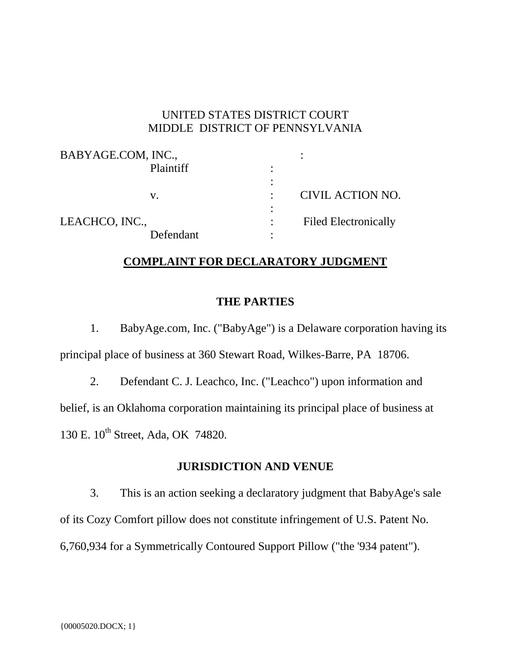### UNITED STATES DISTRICT COURT MIDDLE DISTRICT OF PENNSYLVANIA

| BABYAGE.COM, INC., |                             |  |
|--------------------|-----------------------------|--|
| Plaintiff          |                             |  |
|                    |                             |  |
| v.                 | CIVIL ACTION NO.            |  |
|                    |                             |  |
| LEACHCO, INC.,     | <b>Filed Electronically</b> |  |
| Defendant          |                             |  |

## **COMPLAINT FOR DECLARATORY JUDGMENT**

#### **THE PARTIES**

1. BabyAge.com, Inc. ("BabyAge") is a Delaware corporation having its principal place of business at 360 Stewart Road, Wilkes-Barre, PA 18706.

2. Defendant C. J. Leachco, Inc. ("Leachco") upon information and belief, is an Oklahoma corporation maintaining its principal place of business at 130 E. 10<sup>th</sup> Street, Ada, OK 74820.

#### **JURISDICTION AND VENUE**

3. This is an action seeking a declaratory judgment that BabyAge's sale of its Cozy Comfort pillow does not constitute infringement of U.S. Patent No. 6,760,934 for a Symmetrically Contoured Support Pillow ("the '934 patent").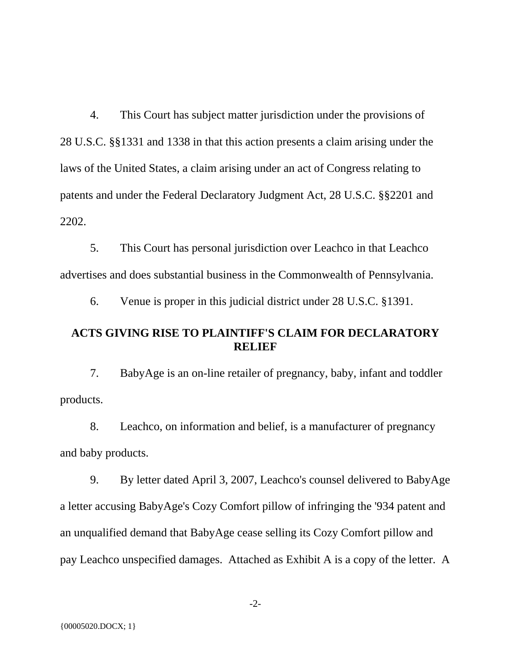4. This Court has subject matter jurisdiction under the provisions of 28 U.S.C. §§1331 and 1338 in that this action presents a claim arising under the laws of the United States, a claim arising under an act of Congress relating to patents and under the Federal Declaratory Judgment Act, 28 U.S.C. §§2201 and 2202.

5. This Court has personal jurisdiction over Leachco in that Leachco advertises and does substantial business in the Commonwealth of Pennsylvania.

6. Venue is proper in this judicial district under 28 U.S.C. §1391.

#### **ACTS GIVING RISE TO PLAINTIFF'S CLAIM FOR DECLARATORY RELIEF**

7. BabyAge is an on-line retailer of pregnancy, baby, infant and toddler products.

8. Leachco, on information and belief, is a manufacturer of pregnancy and baby products.

9. By letter dated April 3, 2007, Leachco's counsel delivered to BabyAge a letter accusing BabyAge's Cozy Comfort pillow of infringing the '934 patent and an unqualified demand that BabyAge cease selling its Cozy Comfort pillow and pay Leachco unspecified damages. Attached as Exhibit A is a copy of the letter. A

-2-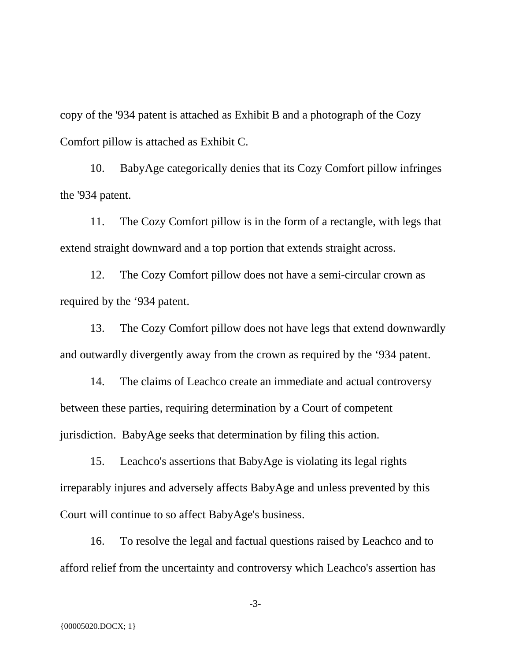copy of the '934 patent is attached as Exhibit B and a photograph of the Cozy Comfort pillow is attached as Exhibit C.

10. BabyAge categorically denies that its Cozy Comfort pillow infringes the '934 patent.

11. The Cozy Comfort pillow is in the form of a rectangle, with legs that extend straight downward and a top portion that extends straight across.

12. The Cozy Comfort pillow does not have a semi-circular crown as required by the '934 patent.

13. The Cozy Comfort pillow does not have legs that extend downwardly and outwardly divergently away from the crown as required by the '934 patent.

14. The claims of Leachco create an immediate and actual controversy between these parties, requiring determination by a Court of competent jurisdiction. BabyAge seeks that determination by filing this action.

15. Leachco's assertions that BabyAge is violating its legal rights irreparably injures and adversely affects BabyAge and unless prevented by this Court will continue to so affect BabyAge's business.

16. To resolve the legal and factual questions raised by Leachco and to afford relief from the uncertainty and controversy which Leachco's assertion has

-3-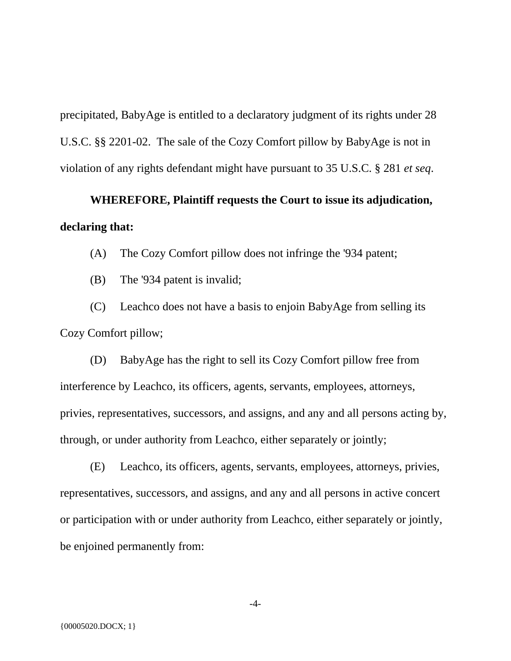precipitated, BabyAge is entitled to a declaratory judgment of its rights under 28 U.S.C. §§ 2201-02. The sale of the Cozy Comfort pillow by BabyAge is not in violation of any rights defendant might have pursuant to 35 U.S.C. § 281 *et seq*.

# **WHEREFORE, Plaintiff requests the Court to issue its adjudication, declaring that:**

(A) The Cozy Comfort pillow does not infringe the '934 patent;

(B) The '934 patent is invalid;

(C) Leachco does not have a basis to enjoin BabyAge from selling its Cozy Comfort pillow;

(D) BabyAge has the right to sell its Cozy Comfort pillow free from interference by Leachco, its officers, agents, servants, employees, attorneys, privies, representatives, successors, and assigns, and any and all persons acting by, through, or under authority from Leachco, either separately or jointly;

(E) Leachco, its officers, agents, servants, employees, attorneys, privies, representatives, successors, and assigns, and any and all persons in active concert or participation with or under authority from Leachco, either separately or jointly, be enjoined permanently from:

-4-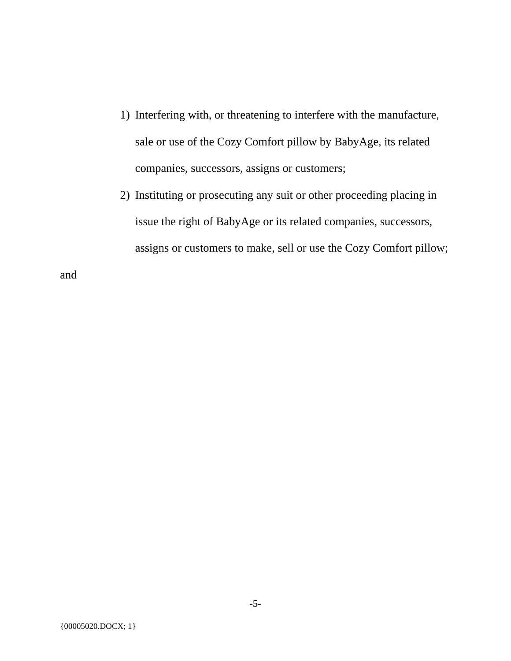- 1) Interfering with, or threatening to interfere with the manufacture, sale or use of the Cozy Comfort pillow by BabyAge, its related companies, successors, assigns or customers;
- 2) Instituting or prosecuting any suit or other proceeding placing in issue the right of BabyAge or its related companies, successors, assigns or customers to make, sell or use the Cozy Comfort pillow;

and